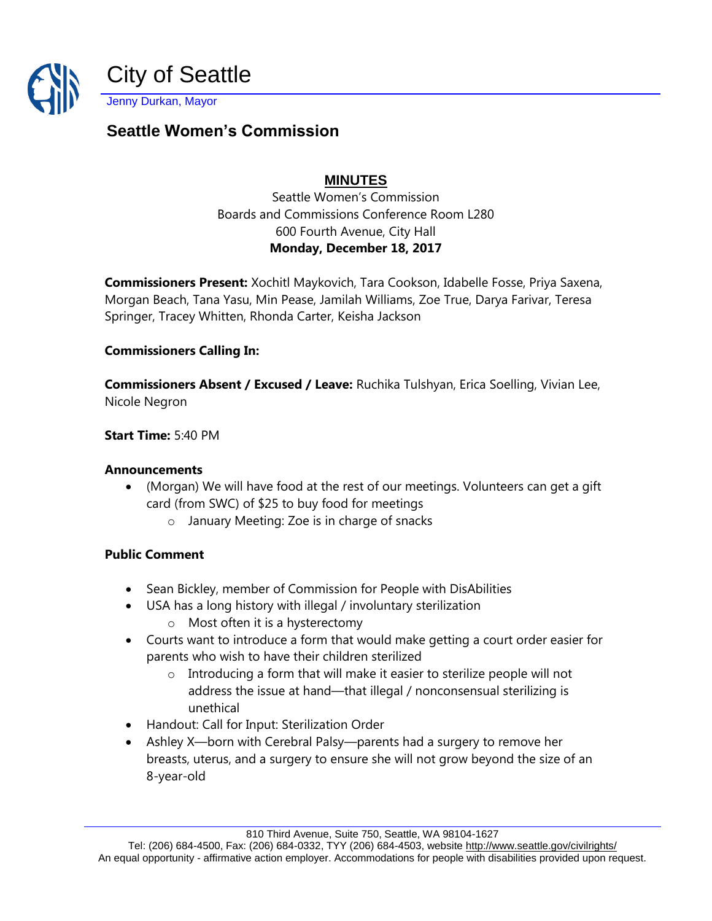

# **Seattle Women's Commission**

## **MINUTES**

Seattle Women's Commission Boards and Commissions Conference Room L280 600 Fourth Avenue, City Hall **Monday, December 18, 2017**

**Commissioners Present:** Xochitl Maykovich, Tara Cookson, Idabelle Fosse, Priya Saxena, Morgan Beach, Tana Yasu, Min Pease, Jamilah Williams, Zoe True, Darya Farivar, Teresa Springer, Tracey Whitten, Rhonda Carter, Keisha Jackson

#### **Commissioners Calling In:**

**Commissioners Absent / Excused / Leave:** Ruchika Tulshyan, Erica Soelling, Vivian Lee, Nicole Negron

**Start Time:** 5:40 PM

#### **Announcements**

- (Morgan) We will have food at the rest of our meetings. Volunteers can get a gift card (from SWC) of \$25 to buy food for meetings
	- o January Meeting: Zoe is in charge of snacks

#### **Public Comment**

- Sean Bickley, member of Commission for People with DisAbilities
- USA has a long history with illegal / involuntary sterilization
	- o Most often it is a hysterectomy
- Courts want to introduce a form that would make getting a court order easier for parents who wish to have their children sterilized
	- o Introducing a form that will make it easier to sterilize people will not address the issue at hand—that illegal / nonconsensual sterilizing is unethical
- Handout: Call for Input: Sterilization Order
- Ashley X—born with Cerebral Palsy—parents had a surgery to remove her breasts, uterus, and a surgery to ensure she will not grow beyond the size of an 8-year-old

810 Third Avenue, Suite 750, Seattle, WA 98104-1627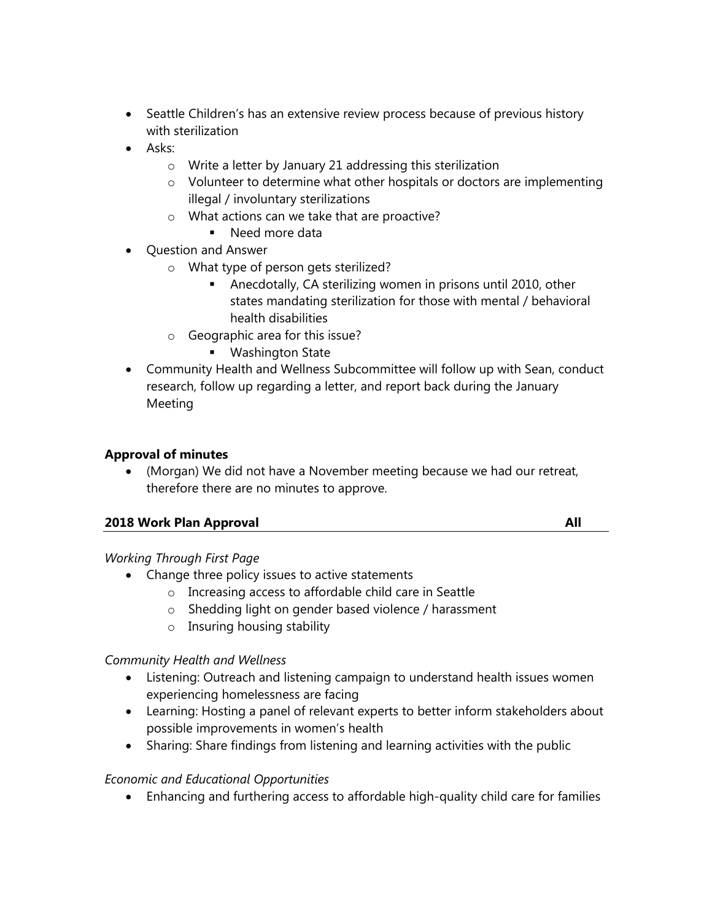- Seattle Children's has an extensive review process because of previous history with sterilization
- Asks:
	- o Write a letter by January 21 addressing this sterilization
	- $\circ$  Volunteer to determine what other hospitals or doctors are implementing illegal / involuntary sterilizations
	- o What actions can we take that are proactive?
		- Need more data
- Question and Answer
	- o What type of person gets sterilized?
		- **EXED** Anecdotally, CA sterilizing women in prisons until 2010, other states mandating sterilization for those with mental / behavioral health disabilities
	- o Geographic area for this issue?
		- Washington State
- Community Health and Wellness Subcommittee will follow up with Sean, conduct research, follow up regarding a letter, and report back during the January Meeting

#### **Approval of minutes**

• (Morgan) We did not have a November meeting because we had our retreat, therefore there are no minutes to approve.

#### **2018 Work Plan Approval All**

#### *Working Through First Page*

- Change three policy issues to active statements
	- o Increasing access to affordable child care in Seattle
	- o Shedding light on gender based violence / harassment
	- o Insuring housing stability

#### *Community Health and Wellness*

- Listening: Outreach and listening campaign to understand health issues women experiencing homelessness are facing
- Learning: Hosting a panel of relevant experts to better inform stakeholders about possible improvements in women's health
- Sharing: Share findings from listening and learning activities with the public

#### *Economic and Educational Opportunities*

• Enhancing and furthering access to affordable high-quality child care for families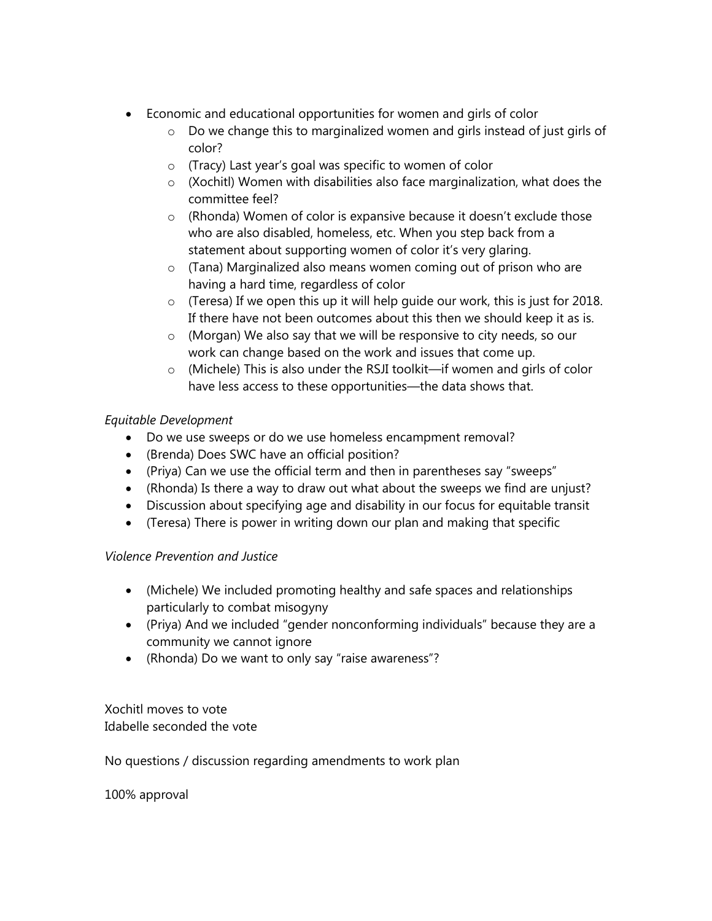- Economic and educational opportunities for women and girls of color
	- o Do we change this to marginalized women and girls instead of just girls of color?
	- o (Tracy) Last year's goal was specific to women of color
	- o (Xochitl) Women with disabilities also face marginalization, what does the committee feel?
	- o (Rhonda) Women of color is expansive because it doesn't exclude those who are also disabled, homeless, etc. When you step back from a statement about supporting women of color it's very glaring.
	- o (Tana) Marginalized also means women coming out of prison who are having a hard time, regardless of color
	- o (Teresa) If we open this up it will help guide our work, this is just for 2018. If there have not been outcomes about this then we should keep it as is.
	- o (Morgan) We also say that we will be responsive to city needs, so our work can change based on the work and issues that come up.
	- o (Michele) This is also under the RSJI toolkit—if women and girls of color have less access to these opportunities—the data shows that.

## *Equitable Development*

- Do we use sweeps or do we use homeless encampment removal?
- (Brenda) Does SWC have an official position?
- (Priya) Can we use the official term and then in parentheses say "sweeps"
- (Rhonda) Is there a way to draw out what about the sweeps we find are unjust?
- Discussion about specifying age and disability in our focus for equitable transit
- (Teresa) There is power in writing down our plan and making that specific

#### *Violence Prevention and Justice*

- (Michele) We included promoting healthy and safe spaces and relationships particularly to combat misogyny
- (Priya) And we included "gender nonconforming individuals" because they are a community we cannot ignore
- (Rhonda) Do we want to only say "raise awareness"?

Xochitl moves to vote Idabelle seconded the vote

No questions / discussion regarding amendments to work plan

100% approval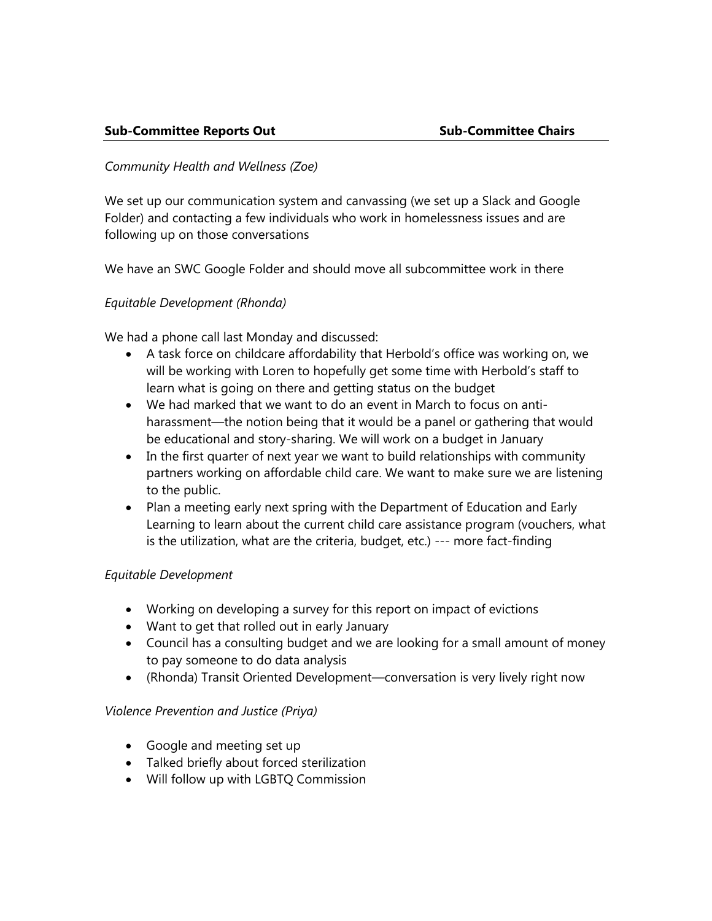#### *Community Health and Wellness (Zoe)*

We set up our communication system and canvassing (we set up a Slack and Google Folder) and contacting a few individuals who work in homelessness issues and are following up on those conversations

We have an SWC Google Folder and should move all subcommittee work in there

#### *Equitable Development (Rhonda)*

We had a phone call last Monday and discussed:

- A task force on childcare affordability that Herbold's office was working on, we will be working with Loren to hopefully get some time with Herbold's staff to learn what is going on there and getting status on the budget
- We had marked that we want to do an event in March to focus on antiharassment—the notion being that it would be a panel or gathering that would be educational and story-sharing. We will work on a budget in January
- In the first quarter of next year we want to build relationships with community partners working on affordable child care. We want to make sure we are listening to the public.
- Plan a meeting early next spring with the Department of Education and Early Learning to learn about the current child care assistance program (vouchers, what is the utilization, what are the criteria, budget, etc.) --- more fact-finding

#### *Equitable Development*

- Working on developing a survey for this report on impact of evictions
- Want to get that rolled out in early January
- Council has a consulting budget and we are looking for a small amount of money to pay someone to do data analysis
- (Rhonda) Transit Oriented Development—conversation is very lively right now

#### *Violence Prevention and Justice (Priya)*

- Google and meeting set up
- Talked briefly about forced sterilization
- Will follow up with LGBTQ Commission